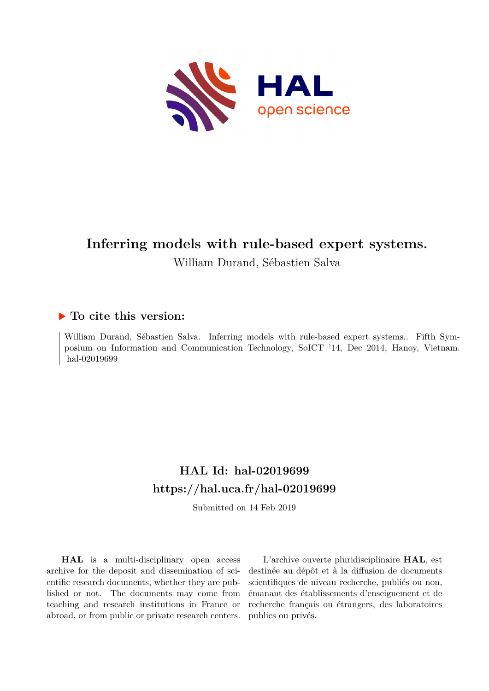

# **Inferring models with rule-based expert systems.**

William Durand, Sébastien Salva

## **To cite this version:**

William Durand, Sébastien Salva. Inferring models with rule-based expert systems.. Fifth Symposium on Information and Communication Technology, SoICT '14, Dec 2014, Hanoy, Vietnam. hal-02019699

## **HAL Id: hal-02019699 <https://hal.uca.fr/hal-02019699>**

Submitted on 14 Feb 2019

**HAL** is a multi-disciplinary open access archive for the deposit and dissemination of scientific research documents, whether they are published or not. The documents may come from teaching and research institutions in France or abroad, or from public or private research centers.

L'archive ouverte pluridisciplinaire **HAL**, est destinée au dépôt et à la diffusion de documents scientifiques de niveau recherche, publiés ou non, émanant des établissements d'enseignement et de recherche français ou étrangers, des laboratoires publics ou privés.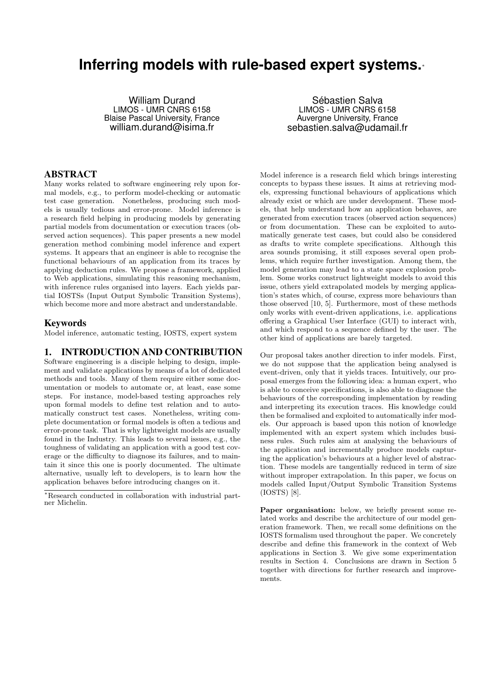## **Inferring models with rule-based expert systems.**<sup>∗</sup>

William Durand LIMOS - UMR CNRS 6158 Blaise Pascal University, France william.durand@isima.fr

Sébastien Salva LIMOS - UMR CNRS 6158 Auvergne University, France sebastien.salva@udamail.fr

## ABSTRACT

Many works related to software engineering rely upon formal models, e.g., to perform model-checking or automatic test case generation. Nonetheless, producing such models is usually tedious and error-prone. Model inference is a research field helping in producing models by generating partial models from documentation or execution traces (observed action sequences). This paper presents a new model generation method combining model inference and expert systems. It appears that an engineer is able to recognise the functional behaviours of an application from its traces by applying deduction rules. We propose a framework, applied to Web applications, simulating this reasoning mechanism, with inference rules organised into layers. Each yields partial IOSTSs (Input Output Symbolic Transition Systems), which become more and more abstract and understandable.

#### Keywords

Model inference, automatic testing, IOSTS, expert system

#### 1. INTRODUCTION AND CONTRIBUTION

Software engineering is a disciple helping to design, implement and validate applications by means of a lot of dedicated methods and tools. Many of them require either some documentation or models to automate or, at least, ease some steps. For instance, model-based testing approaches rely upon formal models to define test relation and to automatically construct test cases. Nonetheless, writing complete documentation or formal models is often a tedious and error-prone task. That is why lightweight models are usually found in the Industry. This leads to several issues, e.g., the toughness of validating an application with a good test coverage or the difficulty to diagnose its failures, and to maintain it since this one is poorly documented. The ultimate alternative, usually left to developers, is to learn how the application behaves before introducing changes on it.

Model inference is a research field which brings interesting concepts to bypass these issues. It aims at retrieving models, expressing functional behaviours of applications which already exist or which are under development. These models, that help understand how an application behaves, are generated from execution traces (observed action sequences) or from documentation. These can be exploited to automatically generate test cases, but could also be considered as drafts to write complete specifications. Although this area sounds promising, it still exposes several open problems, which require further investigation. Among them, the model generation may lead to a state space explosion problem. Some works construct lightweight models to avoid this issue, others yield extrapolated models by merging application's states which, of course, express more behaviours than those observed [10, 5]. Furthermore, most of these methods only works with event-driven applications, i.e. applications offering a Graphical User Interface (GUI) to interact with, and which respond to a sequence defined by the user. The other kind of applications are barely targeted.

Our proposal takes another direction to infer models. First, we do not suppose that the application being analysed is event-driven, only that it yields traces. Intuitively, our proposal emerges from the following idea: a human expert, who is able to conceive specifications, is also able to diagnose the behaviours of the corresponding implementation by reading and interpreting its execution traces. His knowledge could then be formalised and exploited to automatically infer models. Our approach is based upon this notion of knowledge implemented with an expert system which includes business rules. Such rules aim at analysing the behaviours of the application and incrementally produce models capturing the application's behaviours at a higher level of abstraction. These models are tangentially reduced in term of size without improper extrapolation. In this paper, we focus on models called Input/Output Symbolic Transition Systems (IOSTS) [8].

Paper organisation: below, we briefly present some related works and describe the architecture of our model generation framework. Then, we recall some definitions on the IOSTS formalism used throughout the paper. We concretely describe and define this framework in the context of Web applications in Section 3. We give some experimentation results in Section 4. Conclusions are drawn in Section 5 together with directions for further research and improvements.

<sup>∗</sup>Research conducted in collaboration with industrial partner Michelin.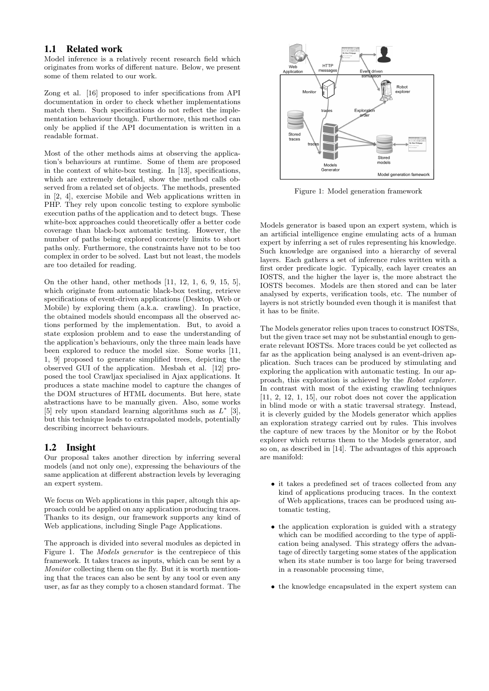#### 1.1 Related work

Model inference is a relatively recent research field which originates from works of different nature. Below, we present some of them related to our work.

Zong et al. [16] proposed to infer specifications from API documentation in order to check whether implementations match them. Such specifications do not reflect the implementation behaviour though. Furthermore, this method can only be applied if the API documentation is written in a readable format.

Most of the other methods aims at observing the application's behaviours at runtime. Some of them are proposed in the context of white-box testing. In [13], specifications, which are extremely detailed, show the method calls observed from a related set of objects. The methods, presented in [2, 4], exercise Mobile and Web applications written in PHP. They rely upon concolic testing to explore symbolic execution paths of the application and to detect bugs. These white-box approaches could theoretically offer a better code coverage than black-box automatic testing. However, the number of paths being explored concretely limits to short paths only. Furthermore, the constraints have not to be too complex in order to be solved. Last but not least, the models are too detailed for reading.

On the other hand, other methods [11, 12, 1, 6, 9, 15, 5], which originate from automatic black-box testing, retrieve specifications of event-driven applications (Desktop, Web or Mobile) by exploring them (a.k.a. crawling). In practice, the obtained models should encompass all the observed actions performed by the implementation. But, to avoid a state explosion problem and to ease the understanding of the application's behaviours, only the three main leads have been explored to reduce the model size. Some works [11, 1, 9] proposed to generate simplified trees, depicting the observed GUI of the application. Mesbah et al. [12] proposed the tool Crawljax specialised in Ajax applications. It produces a state machine model to capture the changes of the DOM structures of HTML documents. But here, state abstractions have to be manually given. Also, some works [5] rely upon standard learning algorithms such as  $L^*$  [3], but this technique leads to extrapolated models, potentially describing incorrect behaviours.

### 1.2 Insight

Our proposal takes another direction by inferring several models (and not only one), expressing the behaviours of the same application at different abstraction levels by leveraging an expert system.

We focus on Web applications in this paper, altough this approach could be applied on any application producing traces. Thanks to its design, our framework supports any kind of Web applications, including Single Page Applications.

The approach is divided into several modules as depicted in Figure 1. The Models generator is the centrepiece of this framework. It takes traces as inputs, which can be sent by a Monitor collecting them on the fly. But it is worth mentioning that the traces can also be sent by any tool or even any user, as far as they comply to a chosen standard format. The



Figure 1: Model generation framework

Models generator is based upon an expert system, which is an artificial intelligence engine emulating acts of a human expert by inferring a set of rules representing his knowledge. Such knowledge are organised into a hierarchy of several layers. Each gathers a set of inference rules written with a first order predicate logic. Typically, each layer creates an IOSTS, and the higher the layer is, the more abstract the IOSTS becomes. Models are then stored and can be later analysed by experts, verification tools, etc. The number of layers is not strictly bounded even though it is manifest that it has to be finite.

The Models generator relies upon traces to construct IOSTSs, but the given trace set may not be substantial enough to generate relevant IOSTSs. More traces could be yet collected as far as the application being analysed is an event-driven application. Such traces can be produced by stimulating and exploring the application with automatic testing. In our approach, this exploration is achieved by the Robot explorer. In contrast with most of the existing crawling techniques [11, 2, 12, 1, 15], our robot does not cover the application in blind mode or with a static traversal strategy. Instead, it is cleverly guided by the Models generator which applies an exploration strategy carried out by rules. This involves the capture of new traces by the Monitor or by the Robot explorer which returns them to the Models generator, and so on, as described in [14]. The advantages of this approach are manifold:

- it takes a predefined set of traces collected from any kind of applications producing traces. In the context of Web applications, traces can be produced using automatic testing,
- the application exploration is guided with a strategy which can be modified according to the type of application being analysed. This strategy offers the advantage of directly targeting some states of the application when its state number is too large for being traversed in a reasonable processing time,
- the knowledge encapsulated in the expert system can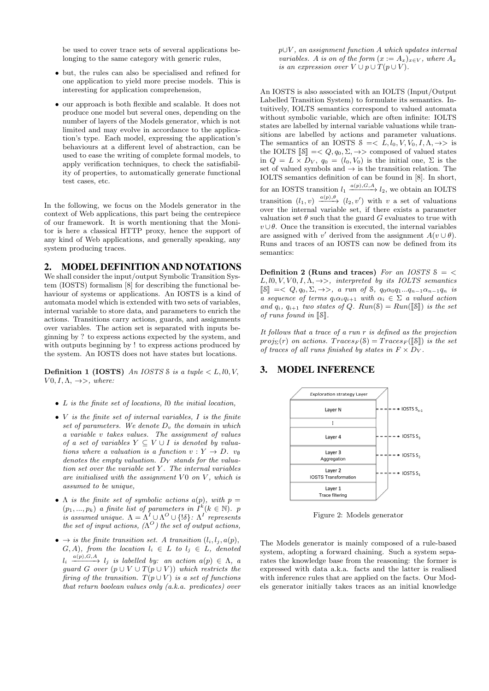be used to cover trace sets of several applications belonging to the same category with generic rules,

- but, the rules can also be specialised and refined for one application to yield more precise models. This is interesting for application comprehension,
- our approach is both flexible and scalable. It does not produce one model but several ones, depending on the number of layers of the Models generator, which is not limited and may evolve in accordance to the application's type. Each model, expressing the application's behaviours at a different level of abstraction, can be used to ease the writing of complete formal models, to apply verification techniques, to check the satisfiability of properties, to automatically generate functional test cases, etc.

In the following, we focus on the Models generator in the context of Web applications, this part being the centrepiece of our framework. It is worth mentioning that the Monitor is here a classical HTTP proxy, hence the support of any kind of Web applications, and generally speaking, any system producing traces.

#### 2. MODEL DEFINITION AND NOTATIONS

We shall consider the input/output Symbolic Transition System (IOSTS) formalism [8] for describing the functional behaviour of systems or applications. An IOSTS is a kind of automata model which is extended with two sets of variables, internal variable to store data, and parameters to enrich the actions. Transitions carry actions, guards, and assignments over variables. The action set is separated with inputs beginning by ? to express actions expected by the system, and with outputs beginning by ! to express actions produced by the system. An IOSTS does not have states but locations.

**Definition 1 (IOSTS)** An IOSTS  $\delta$  is a tuple  $\langle L, l0, V, \rangle$  $V0, I, \Lambda, \rightarrow>$ , where:

- L is the finite set of locations, l0 the initial location,
- $\bullet$  V is the finite set of internal variables, I is the finite set of parameters. We denote  $D_v$  the domain in which a variable v takes values. The assignment of values of a set of variables  $Y \subseteq V \cup I$  is denoted by valuations where a valuation is a function  $v: Y \to D$ .  $v_{\emptyset}$ denotes the empty valuation.  $D<sub>Y</sub>$  stands for the valuation set over the variable set Y . The internal variables are initialised with the assignment  $V0$  on  $V$ , which is assumed to be unique,
- $\Lambda$  is the finite set of symbolic actions  $a(p)$ , with  $p =$  $(p_1, ..., p_k)$  a finite list of parameters in  $I^k (k \in \mathbb{N})$ . p is assumed unique.  $\Lambda = \Lambda^I \cup \Lambda^O \cup \{!\delta\}$ :  $\Lambda^I$  represents the set of input actions,  $(\Lambda^O)$  the set of output actions,
- $\rightarrow$  is the finite transition set. A transition  $(l_i, l_j, a(p),$  $G, A$ ), from the location  $l_i \in L$  to  $l_j \in L$ , denoted  $l_i \xrightarrow{a(p), G, A} l_j$  is labelled by: an action  $a(p) \in \Lambda$ , a guard G over  $(p \cup V \cup T(p \cup V))$  which restricts the firing of the transition.  $T(p \cup V)$  is a set of functions that return boolean values only (a.k.a. predicates) over

 $p ∪ V$ , an assignment function A which updates internal variables. A is on of the form  $(x := A_x)_{x \in V}$ , where  $A_x$ is an expression over  $V \cup p \cup T(p \cup V)$ .

An IOSTS is also associated with an IOLTS (Input/Output Labelled Transition System) to formulate its semantics. Intuitively, IOLTS semantics correspond to valued automata without symbolic variable, which are often infinite: IOLTS states are labelled by internal variable valuations while transitions are labelled by actions and parameter valuations. The semantics of an IOSTS  $\mathcal{S} = \langle L, l_0, V, V_0, I, \Lambda, \rightarrow \rangle$  is the IOLTS  $\llbracket \mathcal{S} \rrbracket = \langle Q, q_0, \Sigma, \rightarrow \rangle$  composed of valued states in  $Q = L \times D_V$ ,  $q_0 = (l_0, V_0)$  is the initial one,  $\Sigma$  is the set of valued symbols and  $\rightarrow$  is the transition relation. The IOLTS semantics definition of can be found in [8]. In short, for an IOSTS transition  $l_1 \xrightarrow{a(p),G,A} l_2$ , we obtain an IOLTS transition  $(l_1, v) \xrightarrow{a(p), \theta} (l_2, v')$  with v a set of valuations over the internal variable set, if there exists a parameter valuation set  $\theta$  such that the guard G evaluates to true with  $v \cup \theta$ . Once the transition is executed, the internal variables are assigned with v' derived from the assignment  $A(v \cup \theta)$ . Runs and traces of an IOSTS can now be defined from its semantics:

Definition 2 (Runs and traces) For an IOSTS  $\delta = \langle$  $L, l0, V, V0, I, \Lambda, \rightarrow>$ , interpreted by its IOLTS semantics  $\mathbb{S} \equiv \langle Q, q_0, \Sigma, \rightarrow \rangle$ , a run of S,  $q_0 \alpha_0 q_1 ... q_{n-1} \alpha_{n-1} q_n$  is a sequence of terms  $q_i\alpha_iq_{i+1}$  with  $\alpha_i \in \Sigma$  a valued action and  $q_i$ ,  $q_{i+1}$  two states of Q. Run(S) = Run(S) is the set of runs found in  $\lbrack \mathcal{S} \rbrack$ .

It follows that a trace of a run  $r$  is defined as the projection proj<sub>Σ</sub>(r) on actions. Traces<sub>F</sub>(S) = Traces<sub>F</sub>( $\mathbb{S}$ ) is the set of traces of all runs finished by states in  $F \times D_V$ .

#### 3. MODEL INFERENCE



Figure 2: Models generator

The Models generator is mainly composed of a rule-based system, adopting a forward chaining. Such a system separates the knowledge base from the reasoning: the former is expressed with data a.k.a. facts and the latter is realised with inference rules that are applied on the facts. Our Models generator initially takes traces as an initial knowledge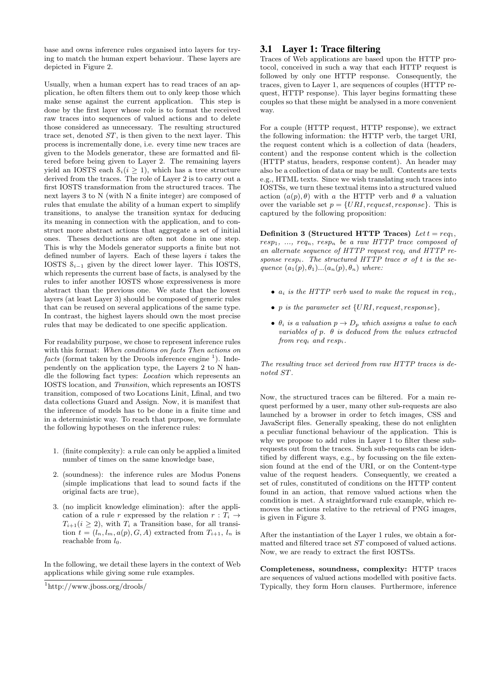base and owns inference rules organised into layers for trying to match the human expert behaviour. These layers are depicted in Figure 2.

Usually, when a human expert has to read traces of an application, he often filters them out to only keep those which make sense against the current application. This step is done by the first layer whose role is to format the received raw traces into sequences of valued actions and to delete those considered as unnecessary. The resulting structured trace set, denoted ST, is then given to the next layer. This process is incrementally done, i.e. every time new traces are given to the Models generator, these are formatted and filtered before being given to Layer 2. The remaining layers yield an IOSTS each  $S_i(i \geq 1)$ , which has a tree structure derived from the traces. The role of Layer 2 is to carry out a first IOSTS transformation from the structured traces. The next layers 3 to N (with N a finite integer) are composed of rules that emulate the ability of a human expert to simplify transitions, to analyse the transition syntax for deducing its meaning in connection with the application, and to construct more abstract actions that aggregate a set of initial ones. Theses deductions are often not done in one step. This is why the Models generator supports a finite but not defined number of layers. Each of these layers  $i$  takes the IOSTS  $S_{i-1}$  given by the direct lower layer. This IOSTS, which represents the current base of facts, is analysed by the rules to infer another IOSTS whose expressiveness is more abstract than the previous one. We state that the lowest layers (at least Layer 3) should be composed of generic rules that can be reused on several applications of the same type. In contrast, the highest layers should own the most precise rules that may be dedicated to one specific application.

For readability purpose, we chose to represent inference rules with this format: When conditions on facts Then actions on facts (format taken by the Drools inference engine  $<sup>1</sup>$ ). Inde-</sup> pendently on the application type, the Layers 2 to N handle the following fact types: Location which represents an IOSTS location, and Transition, which represents an IOSTS transition, composed of two Locations Linit, Lfinal, and two data collections Guard and Assign. Now, it is manifest that the inference of models has to be done in a finite time and in a deterministic way. To reach that purpose, we formulate the following hypotheses on the inference rules:

- 1. (finite complexity): a rule can only be applied a limited number of times on the same knowledge base,
- 2. (soundness): the inference rules are Modus Ponens (simple implications that lead to sound facts if the original facts are true),
- 3. (no implicit knowledge elimination): after the application of a rule r expressed by the relation  $r: T_i \to$  $T_{i+1}(i \geq 2)$ , with  $T_i$  a Transition base, for all transition  $t = (l_n, l_m, a(p), G, A)$  extracted from  $T_{i+1}, l_n$  is reachable from  $l_0$ .

In the following, we detail these layers in the context of Web applications while giving some rule examples.

#### 3.1 Layer 1: Trace filtering

Traces of Web applications are based upon the HTTP protocol, conceived in such a way that each HTTP request is followed by only one HTTP response. Consequently, the traces, given to Layer 1, are sequences of couples (HTTP request, HTTP response). This layer begins formatting these couples so that these might be analysed in a more convenient way.

For a couple (HTTP request, HTTP response), we extract the following information: the HTTP verb, the target URI, the request content which is a collection of data (headers, content) and the response content which is the collection (HTTP status, headers, response content). An header may also be a collection of data or may be null. Contents are texts e.g., HTML texts. Since we wish translating such traces into IOSTSs, we turn these textual items into a structured valued action  $(a(p), \theta)$  with a the HTTP verb and  $\theta$  a valuation over the variable set  $p = \{URI, request, response\}$ . This is captured by the following proposition:

Definition 3 (Structured HTTP Traces) Let  $t = req_1$ , resp<sub>1</sub>, ..., reg<sub>n</sub>, resp<sub>n</sub> be a raw HTTP trace composed of an alternate sequence of HTTP request req<sub>i</sub> and HTTP response  $resp<sub>i</sub>$ . The structured HTTP trace  $\sigma$  of t is the sequence  $(a_1(p), \theta_1)...(a_n(p), \theta_n)$  where:

- $a_i$  is the HTTP verb used to make the request in req<sub>i</sub>,
- p is the parameter set  $\{URI, request, response\},\$
- $\theta_i$  is a valuation  $p \to D_p$  which assigns a value to each variables of p.  $\theta$  is deduced from the values extracted from  $req_i$  and  $resp_i$ .

The resulting trace set derived from raw HTTP traces is denoted ST.

Now, the structured traces can be filtered. For a main request performed by a user, many other sub-requests are also launched by a browser in order to fetch images, CSS and JavaScript files. Generally speaking, these do not enlighten a peculiar functional behaviour of the application. This is why we propose to add rules in Layer 1 to filter these subrequests out from the traces. Such sub-requests can be identified by different ways, e.g., by focussing on the file extension found at the end of the URI, or on the Content-type value of the request headers. Consequently, we created a set of rules, constituted of conditions on the HTTP content found in an action, that remove valued actions when the condition is met. A straightforward rule example, which removes the actions relative to the retrieval of PNG images, is given in Figure 3.

After the instantiation of the Layer 1 rules, we obtain a formatted and filtered trace set ST composed of valued actions. Now, we are ready to extract the first IOSTSs.

Completeness, soundness, complexity: HTTP traces are sequences of valued actions modelled with positive facts. Typically, they form Horn clauses. Furthermore, inference

<sup>1</sup>http://www.jboss.org/drools/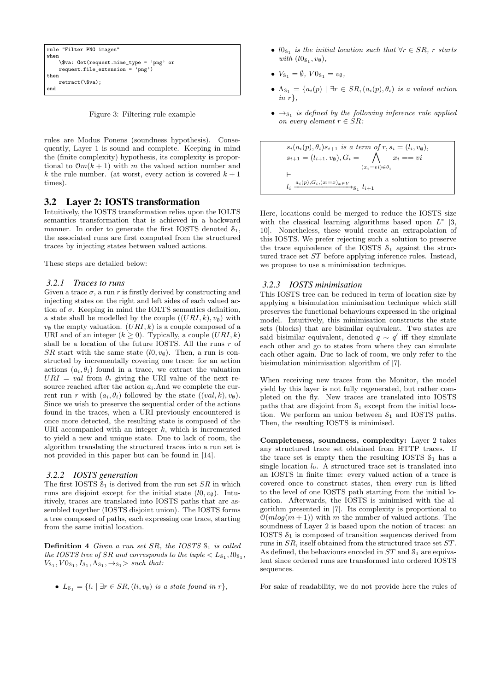```
rule "Filter PNG images"
when
     \sqrt{\$va: Get(request.mime_type = 'png' or \{} request.file extension = 'png')request.file\_extension =then
     retract(\$va);
end
```
Figure 3: Filtering rule example

rules are Modus Ponens (soundness hypothesis). Consequently, Layer 1 is sound and complete. Keeping in mind the (finite complexity) hypothesis, its complexity is proportional to  $\mathcal{O}m(k+1)$  with m the valued action number and k the rule number. (at worst, every action is covered  $k + 1$ times).

#### 3.2 Layer 2: IOSTS transformation

Intuitively, the IOSTS transformation relies upon the IOLTS semantics transformation that is achieved in a backward manner. In order to generate the first IOSTS denoted  $S_1$ , the associated runs are first computed from the structured traces by injecting states between valued actions.

These steps are detailed below:

#### *3.2.1 Traces to runs*

Given a trace  $\sigma$ , a run r is firstly derived by constructing and injecting states on the right and left sides of each valued action of  $\sigma$ . Keeping in mind the IOLTS semantics definition, a state shall be modelled by the couple  $((URI, k), v_{\emptyset})$  with  $v_{\emptyset}$  the empty valuation.  $(URI, k)$  is a couple composed of a URI and of an integer  $(k \geq 0)$ . Typically, a couple  $(URI, k)$ shall be a location of the future IOSTS. All the runs  $r$  of SR start with the same state  $(l0, v_{\emptyset})$ . Then, a run is constructed by incrementally covering one trace: for an action actions  $(a_i, \theta_i)$  found in a trace, we extract the valuation  $URI = val$  from  $\theta_i$  giving the URI value of the next resource reached after the action  $a_i$ . And we complete the current run r with  $(a_i, \theta_i)$  followed by the state  $((val, k), v_{\emptyset})$ . Since we wish to preserve the sequential order of the actions found in the traces, when a URI previously encountered is once more detected, the resulting state is composed of the URI accompanied with an integer  $k$ , which is incremented to yield a new and unique state. Due to lack of room, the algorithm translating the structured traces into a run set is not provided in this paper but can be found in [14].

#### *3.2.2 IOSTS generation*

The first IOSTS  $S_1$  is derived from the run set  $SR$  in which runs are disjoint except for the initial state  $(l0, v_{\emptyset})$ . Intuitively, traces are translated into IOSTS paths that are assembled together (IOSTS disjoint union). The IOSTS forms a tree composed of paths, each expressing one trace, starting from the same initial location.

**Definition 4** Given a run set SR, the IOSTS  $S_1$  is called the IOSTS tree of SR and corresponds to the tuple  $$  $V_{s_1}, V_{0s_1}, I_{s_1}, \Lambda_{s_1}, \rightarrow_{s_1} > \text{such that:}$ 

•  $L_{s_1} = \{l_i \mid \exists r \in SR, (li, v_{\emptyset}) \text{ is a state found in } r\},\$ 

- $l0_{s_1}$  is the initial location such that  $\forall r \in SR$ , r starts with  $(l0_{s_1}, v_{\emptyset}),$
- $V_{s_1} = \emptyset$ ,  $V0_{s_1} = v_{\emptyset}$ ,
- $\Lambda_{s_1} = \{a_i(p) \mid \exists r \in SR, (a_i(p), \theta_i)$  is a valued action in  $r\}$ ,
- $\bullet \rightarrow_{s_1}$  is defined by the following inference rule applied on every element  $r \in SR$ :

 $s_i(a_i(p), \theta_i)s_{i+1}$  is a term of  $r, s_i = (l_i, v_{\emptyset}),$  $s_{i+1} = (l_{i+1}, v_{\emptyset}), G_i = \bigwedge$  $(x_i=v_i) \in \theta_i$  $x_i == vi$  $\vdash$  $l_i \xrightarrow{a_i(p), G_i, (x:=x)_{x \in V}} s_1 l_{i+1}$ 

Here, locations could be merged to reduce the IOSTS size with the classical learning algorithms based upon  $L^*$  [3, 10]. Nonetheless, these would create an extrapolation of this IOSTS. We prefer rejecting such a solution to preserve the trace equivalence of the IOSTS  $S_1$  against the structured trace set  $ST$  before applying inference rules. Instead, we propose to use a minimisation technique.

#### *3.2.3 IOSTS minimisation*

This IOSTS tree can be reduced in term of location size by applying a bisimulation minimisation technique which still preserves the functional behaviours expressed in the original model. Intuitively, this minimisation constructs the state sets (blocks) that are bisimilar equivalent. Two states are said bisimilar equivalent, denoted  $q \sim q'$  iff they simulate each other and go to states from where they can simulate each other again. Due to lack of room, we only refer to the bisimulation minimisation algorithm of [7].

When receiving new traces from the Monitor, the model yield by this layer is not fully regenerated, but rather completed on the fly. New traces are translated into IOSTS paths that are disjoint from  $S_1$  except from the initial location. We perform an union between  $S_1$  and IOSTS paths. Then, the resulting IOSTS is minimised.

Completeness, soundness, complexity: Layer 2 takes any structured trace set obtained from HTTP traces. If the trace set is empty then the resulting IOSTS  $S_1$  has a single location  $l_0$ . A structured trace set is translated into an IOSTS in finite time: every valued action of a trace is covered once to construct states, then every run is lifted to the level of one IOSTS path starting from the initial location. Afterwards, the IOSTS is minimised with the algorithm presented in [7]. Its complexity is proportional to  $\mathcal{O}(m \log(m + 1))$  with m the number of valued actions. The soundness of Layer 2 is based upon the notion of traces: an IOSTS  $S_1$  is composed of transition sequences derived from runs in SR, itself obtained from the structured trace set ST. As defined, the behaviours encoded in  $ST$  and  $\mathcal{S}_1$  are equivalent since ordered runs are transformed into ordered IOSTS sequences.

For sake of readability, we do not provide here the rules of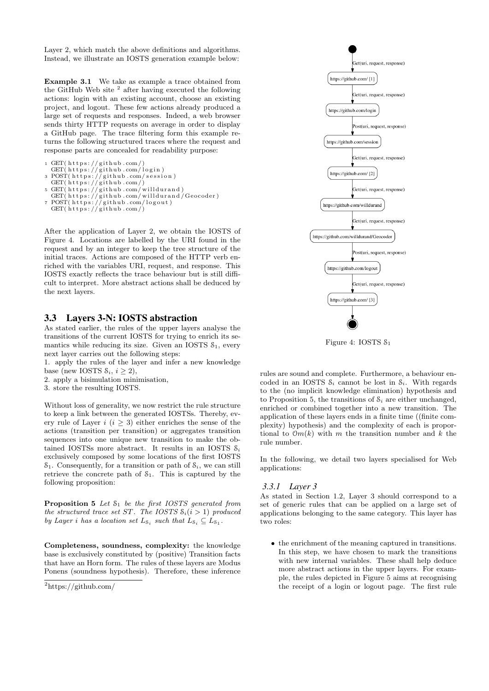Layer 2, which match the above definitions and algorithms. Instead, we illustrate an IOSTS generation example below:

Example 3.1 We take as example a trace obtained from the GitHub Web site<sup>2</sup> after having executed the following actions: login with an existing account, choose an existing project, and logout. These few actions already produced a large set of requests and responses. Indeed, a web browser sends thirty HTTP requests on average in order to display a GitHub page. The trace filtering form this example returns the following structured traces where the request and response parts are concealed for readability purpose:

```
1 GET(https://github.com/
```
- $GET(https://github.com/login)$
- 3 POST( h t t p s : // g i thub . com/ s e s s i o n ) GET( h t t p s : // g i thub . com / )

- 5 GET( h t t p s : // g i thub . com/ w i l l d u r a n d ) GET( h t t p s : // g i thub . com/ w i l l d u r a n d / Geocoder )
- $7$  POST( $\frac{h \dot{t} \dot{b} s :}{|J|}$ github.com/logout)  $GET(\text{https://github.com/})$

After the application of Layer 2, we obtain the IOSTS of Figure 4. Locations are labelled by the URI found in the request and by an integer to keep the tree structure of the initial traces. Actions are composed of the HTTP verb enriched with the variables URI, request, and response. This IOSTS exactly reflects the trace behaviour but is still difficult to interpret. More abstract actions shall be deduced by the next layers.

## 3.3 Layers 3-N: IOSTS abstraction

As stated earlier, the rules of the upper layers analyse the transitions of the current IOSTS for trying to enrich its semantics while reducing its size. Given an IOSTS  $S_1$ , every next layer carries out the following steps:

1. apply the rules of the layer and infer a new knowledge base (new IOSTS  $S_i$ ,  $i \geq 2$ ),

- 2. apply a bisimulation minimisation,
- 3. store the resulting IOSTS.

Without loss of generality, we now restrict the rule structure to keep a link between the generated IOSTSs. Thereby, every rule of Layer  $i$   $(i \geq 3)$  either enriches the sense of the actions (transition per transition) or aggregates transition sequences into one unique new transition to make the obtained IOSTSs more abstract. It results in an IOSTS  $S_i$ exclusively composed by some locations of the first IOSTS  $S_1$ . Consequently, for a transition or path of  $S_i$ , we can still retrieve the concrete path of  $S_1$ . This is captured by the following proposition:

**Proposition 5** Let  $S_1$  be the first IOSTS generated from the structured trace set ST. The IOSTS  $\mathcal{S}_i(i>1)$  produced by Layer i has a location set  $L_{s_i}$  such that  $L_{s_i} \subseteq L_{s_1}$ .

Completeness, soundness, complexity: the knowledge base is exclusively constituted by (positive) Transition facts that have an Horn form. The rules of these layers are Modus Ponens (soundness hypothesis). Therefore, these inference



Figure 4: IOSTS  $S_1$ 

rules are sound and complete. Furthermore, a behaviour encoded in an IOSTS  $\mathcal{S}_i$  cannot be lost in  $\mathcal{S}_i$ . With regards to the (no implicit knowledge elimination) hypothesis and to Proposition 5, the transitions of  $S_i$  are either unchanged, enriched or combined together into a new transition. The application of these layers ends in a finite time ((finite complexity) hypothesis) and the complexity of each is proportional to  $\mathcal{O}m(k)$  with m the transition number and k the rule number.

In the following, we detail two layers specialised for Web applications:

#### *3.3.1 Layer 3*

As stated in Section 1.2, Layer 3 should correspond to a set of generic rules that can be applied on a large set of applications belonging to the same category. This layer has two roles:

• the enrichment of the meaning captured in transitions. In this step, we have chosen to mark the transitions with new internal variables. These shall help deduce more abstract actions in the upper layers. For example, the rules depicted in Figure 5 aims at recognising the receipt of a login or logout page. The first rule

 $^{2}$ https://github.com/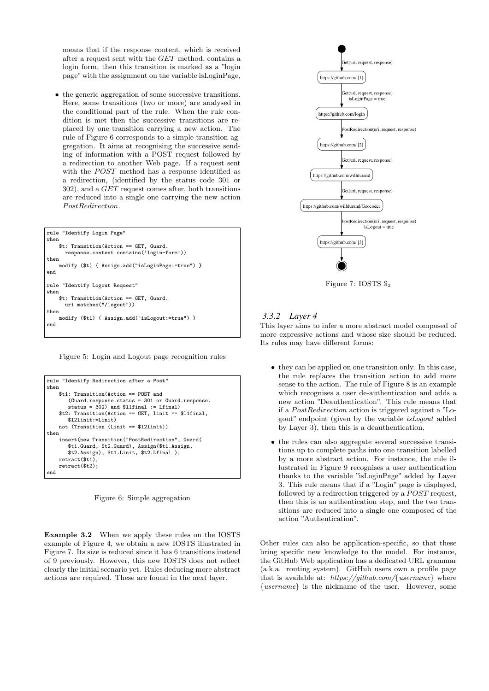means that if the response content, which is received after a request sent with the GET method, contains a login form, then this transition is marked as a "login page"with the assignment on the variable isLoginPage,

• the generic aggregation of some successive transitions. Here, some transitions (two or more) are analysed in the conditional part of the rule. When the rule condition is met then the successive transitions are replaced by one transition carrying a new action. The rule of Figure 6 corresponds to a simple transition aggregation. It aims at recognising the successive sending of information with a POST request followed by a redirection to another Web page. If a request sent with the  $POST$  method has a response identified as a redirection, (identified by the status code 301 or 302), and a GET request comes after, both transitions are reduced into a single one carrying the new action PostRedirection.

```
rule "Identify Login Page"
when
    $t: Transition(Action == GET, Guard.
      response.content contains('login-form'))
then
    modify ($t) { Assign.add("isLoginPage:=true") }
end
rule "Identify Logout Request"
when
    $t: Transition(Action == GET, Guard.
      uri matches("/logout"))
then
    modify ($t1) { Assign.add("isLogout:=true") }
end
```


```
rule "Identify Redirection after a Post"
when
   $t1: Transition(Action == POST and
       (Guard.response.status = 301 or Guard.response.
       status = 302) and $l1final := Lfinal)
   $t2: Transition(Action == GET, linit == $l1final,
      $121init:=Linit)
   not (Transition (Linit == $l2linit))
then
   insert(new Transition("PostRedirection", Guard(
       $t1.Guard, $t2.Guard), Assign($t1.Assign,
      $t2.Assign), $t1.Linit, $t2.Lfinal );
   retract($t1);
   retract($t2);
end
```


Example 3.2 When we apply these rules on the IOSTS example of Figure 4, we obtain a new IOSTS illustrated in Figure 7. Its size is reduced since it has 6 transitions instead of 9 previously. However, this new IOSTS does not reflect clearly the initial scenario yet. Rules deducing more abstract actions are required. These are found in the next layer.



Figure 7: IOSTS  $S_2$ 

#### *3.3.2 Layer 4*

This layer aims to infer a more abstract model composed of more expressive actions and whose size should be reduced. Its rules may have different forms:

- they can be applied on one transition only. In this case, the rule replaces the transition action to add more sense to the action. The rule of Figure 8 is an example which recognises a user de-authentication and adds a new action "Deauthentication". This rule means that if a  $PostRedirection$  action is triggered against a "Logout" endpoint (given by the variable isLogout added by Layer 3), then this is a deauthentication,
- the rules can also aggregate several successive transitions up to complete paths into one transition labelled by a more abstract action. For instance, the rule illustrated in Figure 9 recognises a user authentication thanks to the variable "isLoginPage" added by Layer 3. This rule means that if a "Login" page is displayed, followed by a redirection triggered by a  $POST$  request, then this is an authentication step, and the two transitions are reduced into a single one composed of the action "Authentication".

Other rules can also be application-specific, so that these bring specific new knowledge to the model. For instance, the GitHub Web application has a dedicated URL grammar (a.k.a. routing system). GitHub users own a profile page that is available at: https://github.com/{username} where {username} is the nickname of the user. However, some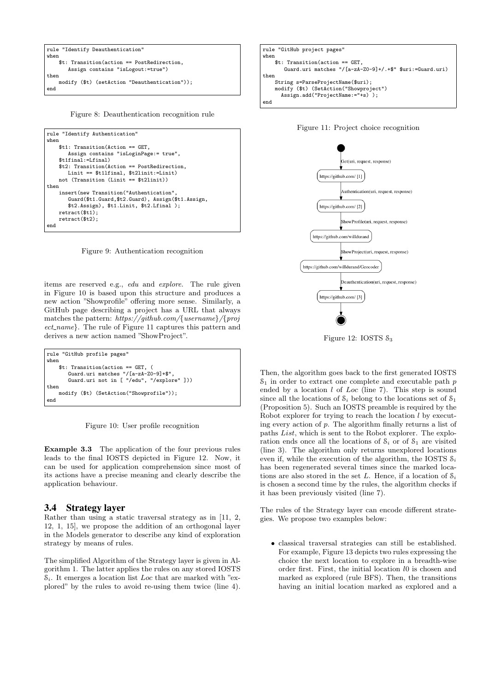```
rule "Identify Deauthentication"
when
   $t: Transition(action == PostRedirection,
       Assign contains "isLogout:=true")
then
   modify ($t) (setAction "Deauthentication"));
end
```
Figure 8: Deauthentication recognition rule

```
rule "Identify Authentication"
when
   $t1: Transition(Action == GET,
      Assign contains "isLoginPage:= true",
   $t1final:=Lfinal)
   $t2: Transition(Action == PostRedirection,
      Linit == $t1lfinal, $t2linit:=Linit)
   not (Transition (Linit == $t2linit))
then
   insert(new Transition("Authentication",
      Guard($t1.Guard,$t2.Guard), Assign($t1.Assign,
      $t2.Assign), $t1.Linit, $t2.Lfinal );
   retract($t1);
   retract($t2);
end
```
Figure 9: Authentication recognition

items are reserved e.g., edu and explore. The rule given in Figure 10 is based upon this structure and produces a new action "Showprofile" offering more sense. Similarly, a GitHub page describing a project has a URL that always matches the pattern: https://github.com/{username}/{proj ect\_name}. The rule of Figure 11 captures this pattern and derives a new action named "ShowProject".

```
rule "GitHub profile pages"
when
   $t: Transition(action == GET, (
      Guard.uri matches "/[a-zA-Z0-9]+$",
      Guard.uri not in [ "/edu", "/explore" ]))
then
   modify ($t) (SetAction("Showprofile"));
end
```
Figure 10: User profile recognition

Example 3.3 The application of the four previous rules leads to the final IOSTS depicted in Figure 12. Now, it can be used for application comprehension since most of its actions have a precise meaning and clearly describe the application behaviour.

#### 3.4 Strategy layer

Rather than using a static traversal strategy as in [11, 2, 12, 1, 15], we propose the addition of an orthogonal layer in the Models generator to describe any kind of exploration strategy by means of rules.

The simplified Algorithm of the Strategy layer is given in Algorithm 1. The latter applies the rules on any stored IOSTS  $S_i$ . It emerges a location list *Loc* that are marked with "explored" by the rules to avoid re-using them twice (line 4).

```
rule "GitHub project pages"
when
   $t: Transition(action == GET,
       Guard.uri matches "/[a-zA-Z0-9]+/.+$" $uri:=Guard.uri)
then
   String s=ParseProjectName($uri);
   modify ($t) (SetAction("Showproject")
      Assign.add("ProjectName:="+s) );
end
```




Figure 12: IOSTS S<sup>3</sup>

Then, the algorithm goes back to the first generated IOSTS  $S_1$  in order to extract one complete and executable path  $p$ ended by a location  $l$  of  $Loc$  (line 7). This step is sound since all the locations of  $S_i$  belong to the locations set of  $S_1$ (Proposition 5). Such an IOSTS preamble is required by the Robot explorer for trying to reach the location  $l$  by executing every action of  $p$ . The algorithm finally returns a list of paths List, which is sent to the Robot explorer. The exploration ends once all the locations of  $S_i$  or of  $S_1$  are visited (line 3). The algorithm only returns unexplored locations even if, while the execution of the algorithm, the IOSTS  $S_i$ has been regenerated several times since the marked locations are also stored in the set L. Hence, if a location of  $S_i$ is chosen a second time by the rules, the algorithm checks if it has been previously visited (line 7).

The rules of the Strategy layer can encode different strategies. We propose two examples below:

• classical traversal strategies can still be established. For example, Figure 13 depicts two rules expressing the choice the next location to explore in a breadth-wise order first. First, the initial location l0 is chosen and marked as explored (rule BFS). Then, the transitions having an initial location marked as explored and a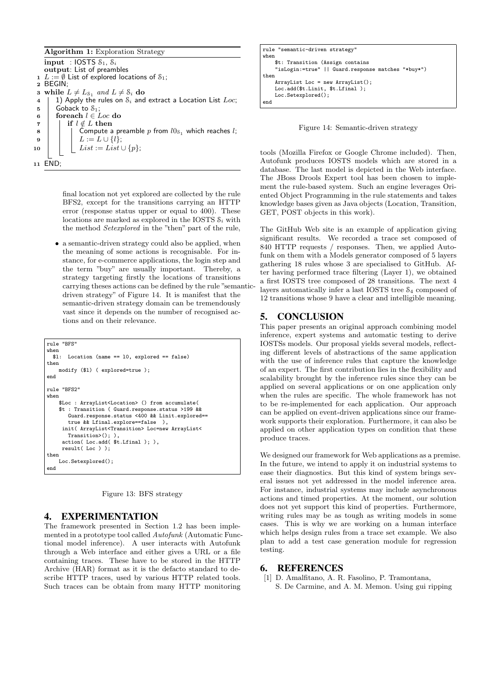Algorithm 1: Exploration Strategy

input : IOSTS  $S_1$ ,  $S_i$ output: List of preambles  $1 L := \emptyset$  List of explored locations of  $S_1$ ; <sup>2</sup> BEGIN; 3 while  $L \neq L_{\mathcal{S}_1}$  and  $L \neq \mathcal{S}_i$  do 4 | 1) Apply the rules on  $S_i$  and extract a Location List  $Loc$ ;  $\mathbf{5}$  Goback to  $\mathcal{S}_1$ ; 6 foreach  $l \in Loc$  do  $\begin{array}{c|c} \n7 & \text{if } l \notin L \text{ then} \\ \n8 & \text{Consider } L \n\end{array}$ Compute a preamble p from  $l0_{s_1}$  which reaches l; 9  $\vert \vert \vert L := L \cup \{l\};$ 10 | List := List ∪ {p}; <sup>11</sup> END;

> final location not yet explored are collected by the rule BFS2, except for the transitions carrying an HTTP error (response status upper or equal to 400). These locations are marked as explored in the IOSTS  $S_i$  with the method Setexplored in the "then" part of the rule,

• a semantic-driven strategy could also be applied, when the meaning of some actions is recognisable. For instance, for e-commerce applications, the login step and the term "buy" are usually important. Thereby, a strategy targeting firstly the locations of transitions carrying theses actions can be defined by the rule "semanticdriven strategy" of Figure 14. It is manifest that the semantic-driven strategy domain can be tremendously vast since it depends on the number of recognised actions and on their relevance.

```
rule "BFS"
\frac{1}{1}Location (name == 10, explored == false)then
    modify ($l) ( explored=true );
end
rule "BFS2"
when
    $Loc : ArrayList<Location> () from accumulate(
    $t : Transition ( Guard.response.status >199 &&
        Guard.response.status <400 && Linit.explored==
true && Lfinal.explore==false ),
     init( ArrayList<Transition> Loc=new ArrayList<
       Transition>(); ),
     action( Loc.add( $t.Lfinal ); ),
     result( Loc ) );
then
    Loc.Setexplored();
end
```


#### 4. EXPERIMENTATION

The framework presented in Section 1.2 has been implemented in a prototype tool called Autofunk (Automatic Functional model inference). A user interacts with Autofunk through a Web interface and either gives a URL or a file containing traces. These have to be stored in the HTTP Archive (HAR) format as it is the defacto standard to describe HTTP traces, used by various HTTP related tools. Such traces can be obtain from many HTTP monitoring



Figure 14: Semantic-driven strategy

tools (Mozilla Firefox or Google Chrome included). Then, Autofunk produces IOSTS models which are stored in a database. The last model is depicted in the Web interface. The JBoss Drools Expert tool has been chosen to implement the rule-based system. Such an engine leverages Oriented Object Programming in the rule statements and takes knowledge bases given as Java objects (Location, Transition, GET, POST objects in this work).

The GitHub Web site is an example of application giving significant results. We recorded a trace set composed of 840 HTTP requests / responses. Then, we applied Autofunk on them with a Models generator composed of 5 layers gathering 18 rules whose 3 are specialised to GitHub. After having performed trace filtering (Layer 1), we obtained a first IOSTS tree composed of 28 transitions. The next 4 layers automatically infer a last IOSTS tree S<sup>4</sup> composed of 12 transitions whose 9 have a clear and intelligible meaning.

### 5. CONCLUSION

This paper presents an original approach combining model inference, expert systems and automatic testing to derive IOSTSs models. Our proposal yields several models, reflecting different levels of abstractions of the same application with the use of inference rules that capture the knowledge of an expert. The first contribution lies in the flexibility and scalability brought by the inference rules since they can be applied on several applications or on one application only when the rules are specific. The whole framework has not to be re-implemented for each application. Our approach can be applied on event-driven applications since our framework supports their exploration. Furthermore, it can also be applied on other application types on condition that these produce traces.

We designed our framework for Web applications as a premise. In the future, we intend to apply it on industrial systems to ease their diagnostics. But this kind of system brings several issues not yet addressed in the model inference area. For instance, industrial systems may include asynchronous actions and timed properties. At the moment, our solution does not yet support this kind of properties. Furthermore, writing rules may be as tough as writing models in some cases. This is why we are working on a human interface which helps design rules from a trace set example. We also plan to add a test case generation module for regression testing.

#### 6. REFERENCES

[1] D. Amalfitano, A. R. Fasolino, P. Tramontana, S. De Carmine, and A. M. Memon. Using gui ripping